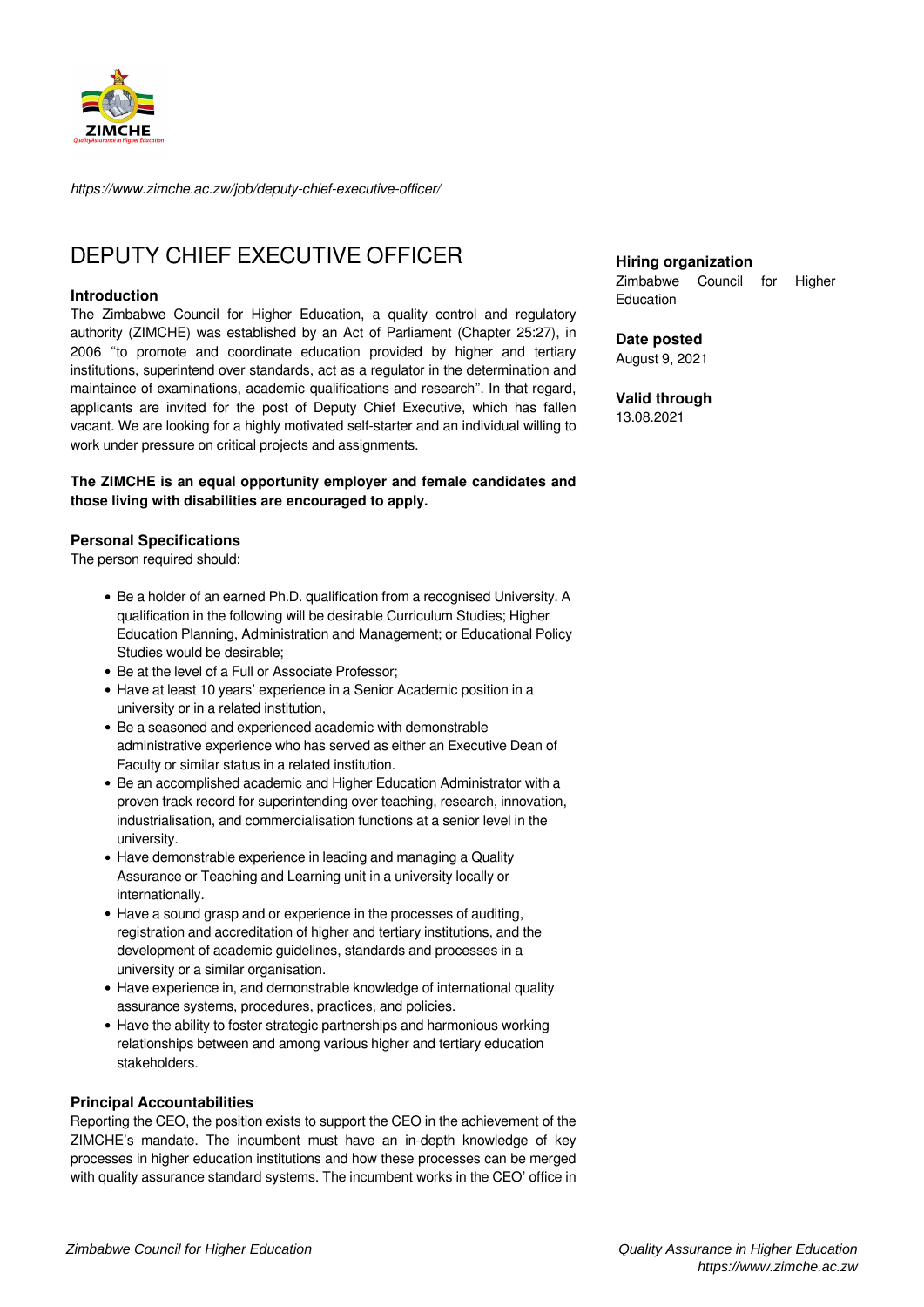

*https://www.zimche.ac.zw/job/deputy-chief-executive-officer/*

# DEPUTY CHIEF EXECUTIVE OFFICER

#### **Introduction**

The Zimbabwe Council for Higher Education, a quality control and regulatory authority (ZIMCHE) was established by an Act of Parliament (Chapter 25:27), in 2006 "to promote and coordinate education provided by higher and tertiary institutions, superintend over standards, act as a regulator in the determination and maintaince of examinations, academic qualifications and research". In that regard, applicants are invited for the post of Deputy Chief Executive, which has fallen vacant. We are looking for a highly motivated self-starter and an individual willing to work under pressure on critical projects and assignments.

## **The ZIMCHE is an equal opportunity employer and female candidates and those living with disabilities are encouraged to apply.**

#### **Personal Specifications**

The person required should:

- Be a holder of an earned Ph.D. qualification from a recognised University. A qualification in the following will be desirable Curriculum Studies; Higher Education Planning, Administration and Management; or Educational Policy Studies would be desirable;
- Be at the level of a Full or Associate Professor;
- Have at least 10 years' experience in a Senior Academic position in a university or in a related institution,
- Be a seasoned and experienced academic with demonstrable administrative experience who has served as either an Executive Dean of Faculty or similar status in a related institution.
- Be an accomplished academic and Higher Education Administrator with a proven track record for superintending over teaching, research, innovation, industrialisation, and commercialisation functions at a senior level in the university.
- Have demonstrable experience in leading and managing a Quality Assurance or Teaching and Learning unit in a university locally or internationally.
- Have a sound grasp and or experience in the processes of auditing, registration and accreditation of higher and tertiary institutions, and the development of academic guidelines, standards and processes in a university or a similar organisation.
- Have experience in, and demonstrable knowledge of international quality assurance systems, procedures, practices, and policies.
- Have the ability to foster strategic partnerships and harmonious working relationships between and among various higher and tertiary education stakeholders.

#### **Principal Accountabilities**

Reporting the CEO, the position exists to support the CEO in the achievement of the ZIMCHE's mandate. The incumbent must have an in-depth knowledge of key processes in higher education institutions and how these processes can be merged with quality assurance standard systems. The incumbent works in the CEO' office in

### **Hiring organization**

Zimbabwe Council for Higher Education

#### **Date posted**

August 9, 2021

## **Valid through**

13.08.2021